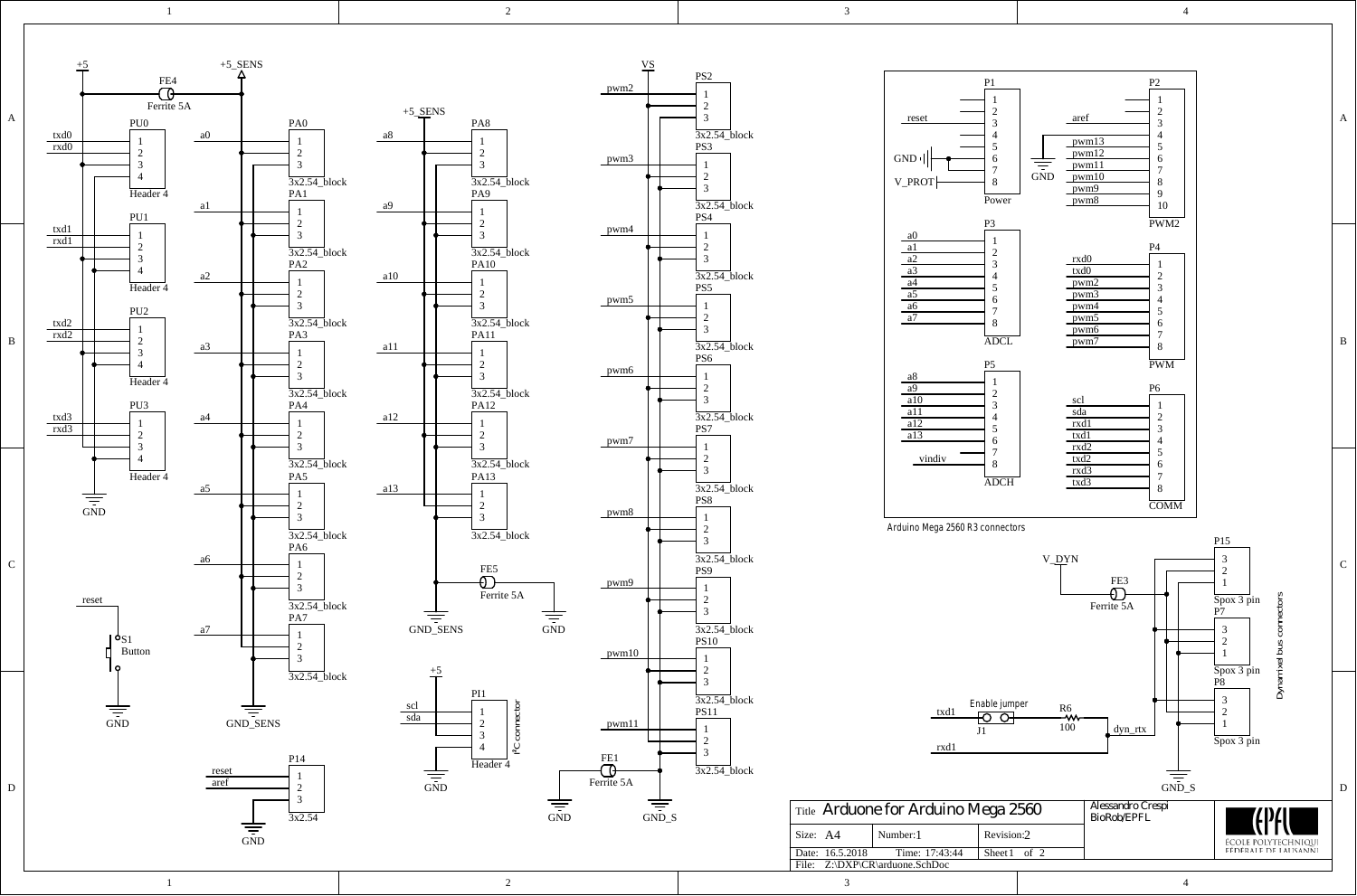2

 $\mathbf{1}$ 



 $\overline{3}$ 

 $\overline{4}$ 

 $\mathbf A$ 

 $\, {\bf B}$ 

 $\mathbf C$ 

 $\mathbf D$ 





 $\overline{4}$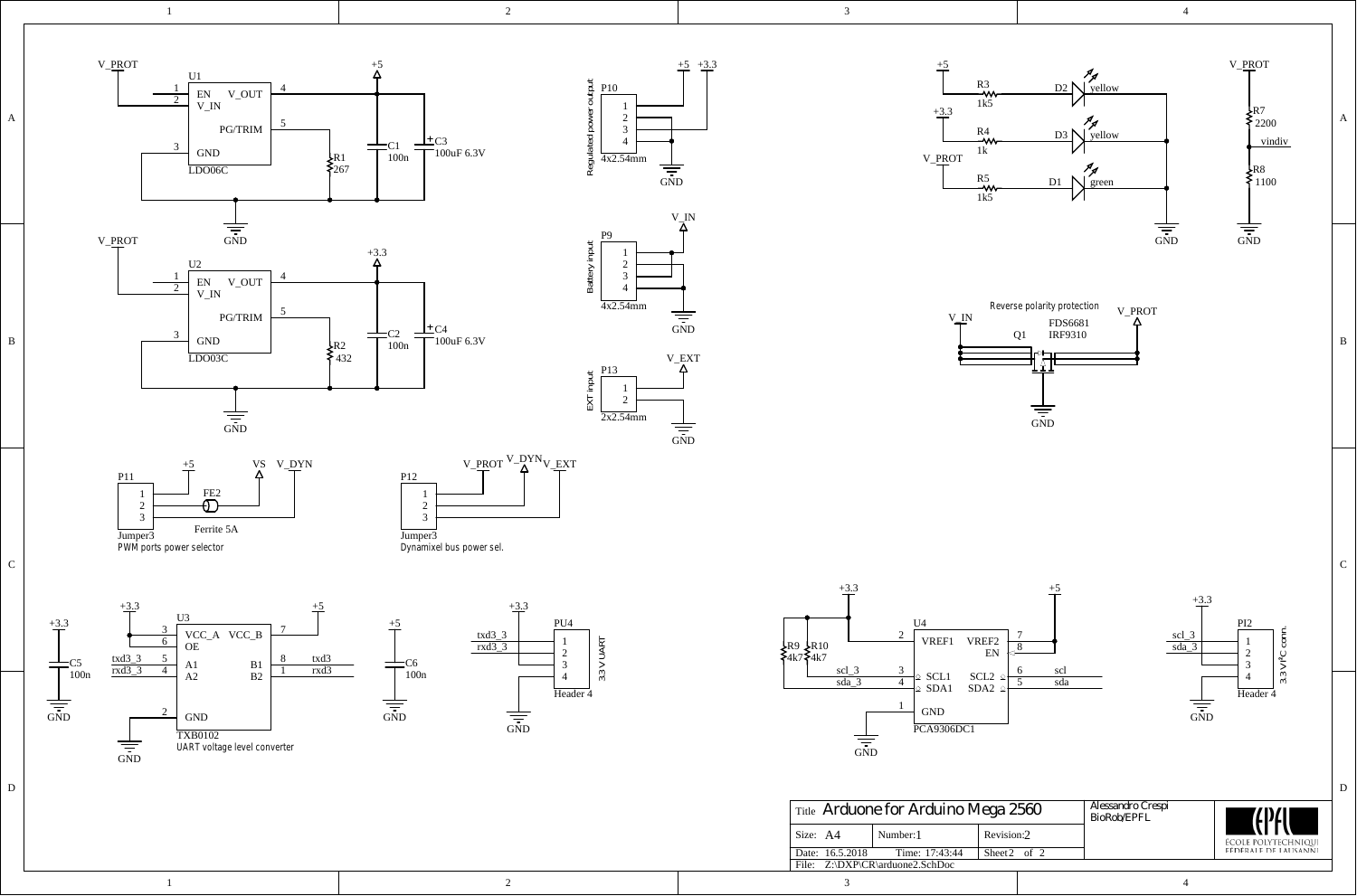

R2 432



**3.3 V UART**

P10

 $+5$   $+3.3$ 



4

R7 2200

vindiv

R8 1100





 $\frac{1}{\frac{1}{\sin D}}$ 

 $\operatorname{GND}$ 

LDO03C

1



+5

 $\frac{1}{\sin D}$ 

2



1





3

| Title Arduone for Arduino Mega 2560 |                                 |                  | Alessandro Crespi<br>BioRob/EPFL | <b>TEPAU</b>               |
|-------------------------------------|---------------------------------|------------------|----------------------------------|----------------------------|
| Size: A4                            | Number: 1                       | Revision:2       |                                  | <b>ÉCOLE POLYTECHNIQUI</b> |
| Date: 16.5.2018                     | Time: 17:43:44                  | Sheet $2$ of $2$ |                                  | FÉDÉRAIE DE LAUSANNI       |
|                                     | File: Z:\DXP\CR\arduone2.SchDoc |                  |                                  |                            |

|  | Date, 10.3.2016<br>тине.<br>17.43.44<br>Sileet 2<br>Z:\DXP\CR\arduone2.SchDoc<br>File. | $_{\rm O1}$ |
|--|----------------------------------------------------------------------------------------|-------------|
|  |                                                                                        |             |

D D

Header<sub>4</sub>

**3.3 V I²C conn.**

3.3 V PC conn

 $\frac{1}{\frac{1}{\sin D}}$ 

+3.3

scl\_3 sda\_3

PI2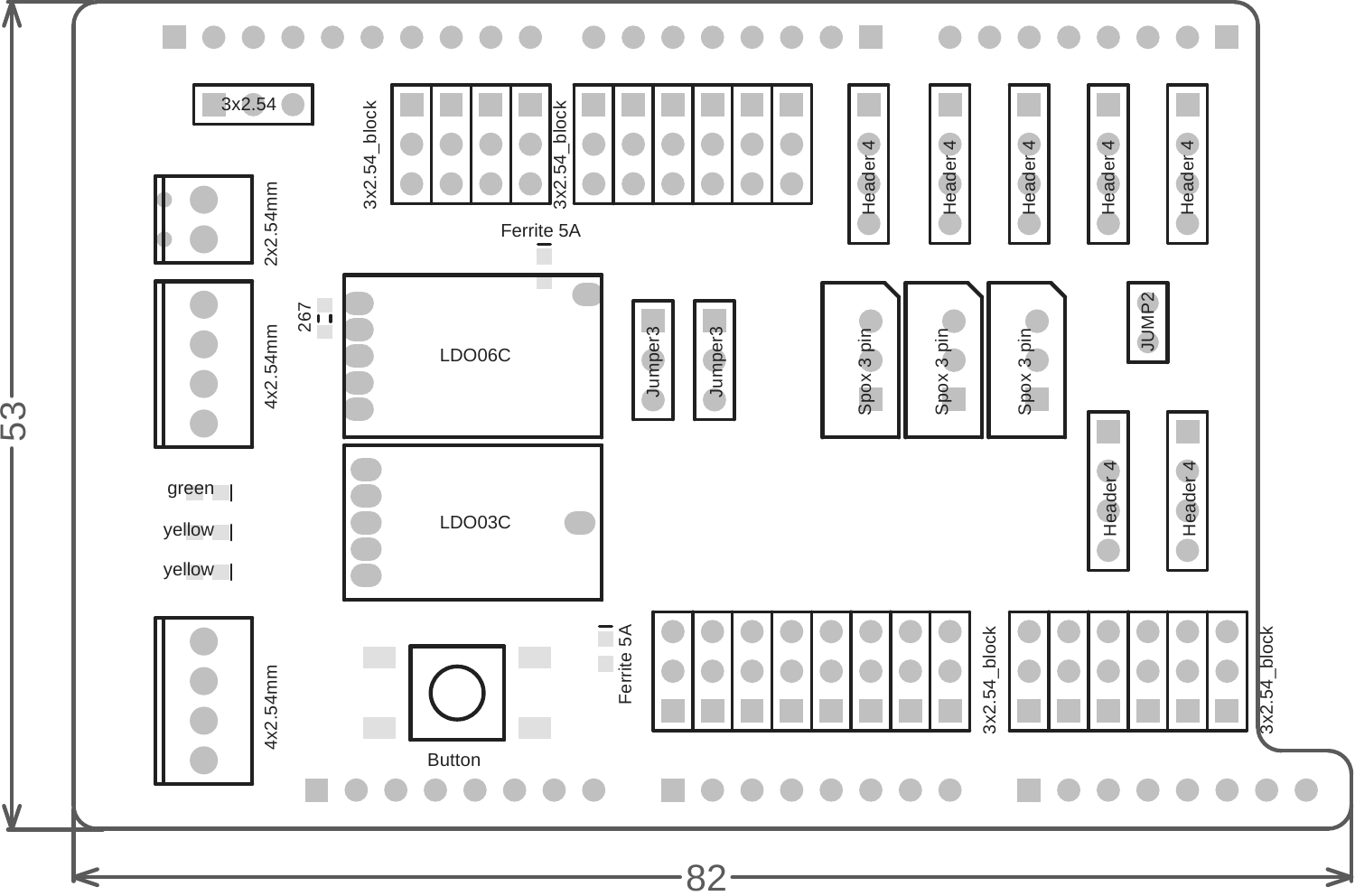

<u>LQ</u> <u>က</u>

 $\boldsymbol{\mathsf{V}}$ 

Λ